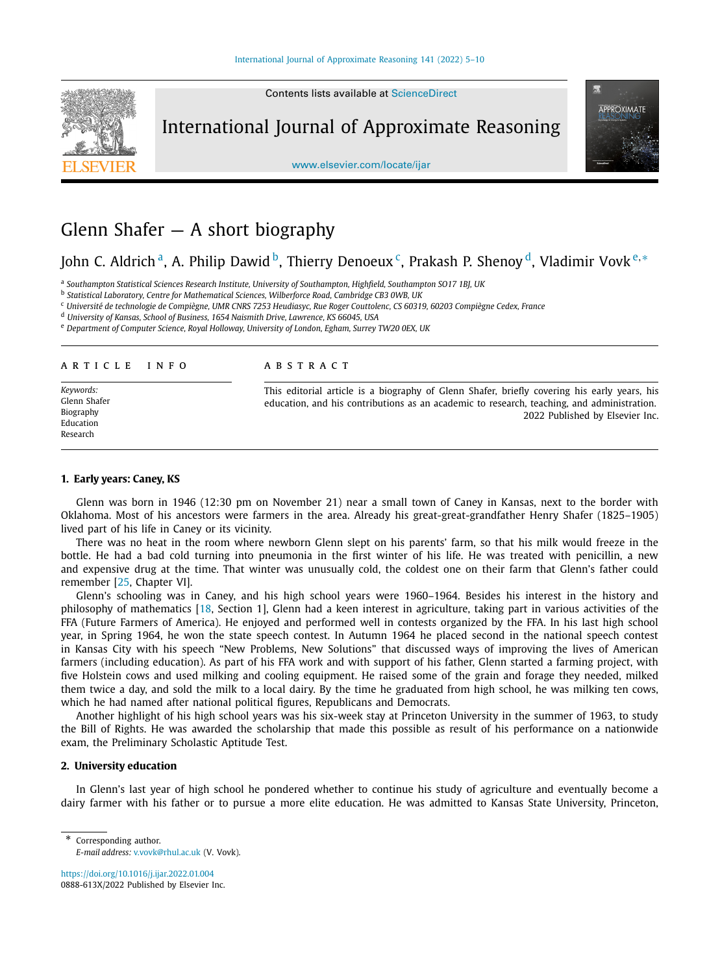

Contents lists available at [ScienceDirect](http://www.ScienceDirect.com/)

International Journal of Approximate Reasoning



[www.elsevier.com/locate/ijar](http://www.elsevier.com/locate/ijar)

# Glenn Shafer  $-$  A short biography

John C. Aldrich<sup>a</sup>, A. Philip Dawid <sup>b</sup>, Thierry Denoeux<sup>c</sup>, Prakash P. Shenoy <sup>d</sup>, Vladimir Vovk<sup>e,∗</sup>

<sup>a</sup> *Southampton Statistical Sciences Research Institute, University of Southampton, Highfield, Southampton SO17 1BJ, UK*

<sup>b</sup> *Statistical Laboratory, Centre for Mathematical Sciences, Wilberforce Road, Cambridge CB3 0WB, UK*

<sup>c</sup> Université de technologie de Compiègne, UMR CNRS 7253 Heudiasyc, Rue Roger Couttolenc, CS 60319, 60203 Compiègne Cedex, France

<sup>d</sup> *University of Kansas, School of Business, 1654 Naismith Drive, Lawrence, KS 66045, USA*

<sup>e</sup> *Department of Computer Science, Royal Holloway, University of London, Egham, Surrey TW20 0EX, UK*

### A R T I C L E I N F O A B S T R A C T

*Keywords:* Glenn Shafer Biography Education Research

This editorial article is a biography of Glenn Shafer, briefly covering his early years, his education, and his contributions as an academic to research, teaching, and administration. 2022 Published by Elsevier Inc.

#### **1. Early years: Caney, KS**

Glenn was born in 1946 (12:30 pm on November 21) near a small town of Caney in Kansas, next to the border with Oklahoma. Most of his ancestors were farmers in the area. Already his great-great-grandfather Henry Shafer (1825–1905) lived part of his life in Caney or its vicinity.

There was no heat in the room where newborn Glenn slept on his parents' farm, so that his milk would freeze in the bottle. He had a bad cold turning into pneumonia in the first winter of his life. He was treated with penicillin, a new and expensive drug at the time. That winter was unusually cold, the coldest one on their farm that Glenn's father could remember [\[25,](#page-5-0) Chapter VI].

Glenn's schooling was in Caney, and his high school years were 1960–1964. Besides his interest in the history and philosophy of mathematics [\[18](#page-5-0), Section 1], Glenn had a keen interest in agriculture, taking part in various activities of the FFA (Future Farmers of America). He enjoyed and performed well in contests organized by the FFA. In his last high school year, in Spring 1964, he won the state speech contest. In Autumn 1964 he placed second in the national speech contest in Kansas City with his speech "New Problems, New Solutions" that discussed ways of improving the lives of American farmers (including education). As part of his FFA work and with support of his father, Glenn started a farming project, with five Holstein cows and used milking and cooling equipment. He raised some of the grain and forage they needed, milked them twice a day, and sold the milk to a local dairy. By the time he graduated from high school, he was milking ten cows, which he had named after national political figures, Republicans and Democrats.

Another highlight of his high school years was his six-week stay at Princeton University in the summer of 1963, to study the Bill of Rights. He was awarded the scholarship that made this possible as result of his performance on a nationwide exam, the Preliminary Scholastic Aptitude Test.

# **2. University education**

In Glenn's last year of high school he pondered whether to continue his study of agriculture and eventually become a dairy farmer with his father or to pursue a more elite education. He was admitted to Kansas State University, Princeton,

<https://doi.org/10.1016/j.ijar.2022.01.004> 0888-613X/2022 Published by Elsevier Inc.

Corresponding author. *E-mail address:* [v.vovk@rhul.ac.uk](mailto:v.vovk@rhul.ac.uk) (V. Vovk).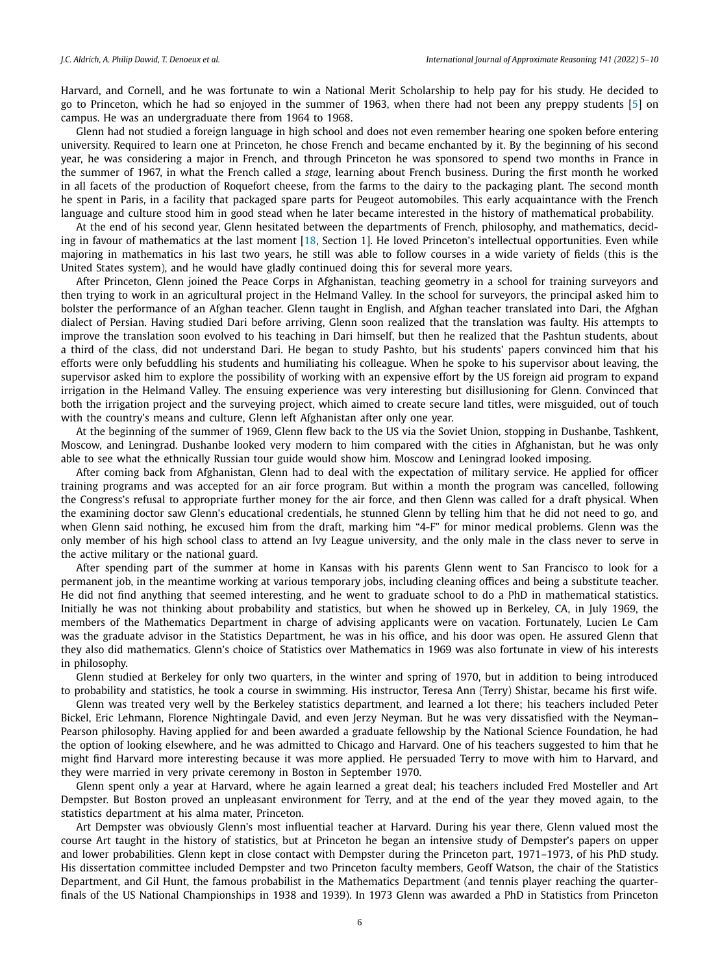Harvard, and Cornell, and he was fortunate to win a National Merit Scholarship to help pay for his study. He decided to go to Princeton, which he had so enjoyed in the summer of 1963, when there had not been any preppy students [[5](#page-5-0)] on campus. He was an undergraduate there from 1964 to 1968.

Glenn had not studied a foreign language in high school and does not even remember hearing one spoken before entering university. Required to learn one at Princeton, he chose French and became enchanted by it. By the beginning of his second year, he was considering a major in French, and through Princeton he was sponsored to spend two months in France in the summer of 1967, in what the French called a *stage*, learning about French business. During the first month he worked in all facets of the production of Roquefort cheese, from the farms to the dairy to the packaging plant. The second month he spent in Paris, in a facility that packaged spare parts for Peugeot automobiles. This early acquaintance with the French language and culture stood him in good stead when he later became interested in the history of mathematical probability.

At the end of his second year, Glenn hesitated between the departments of French, philosophy, and mathematics, deciding in favour of mathematics at the last moment [[18](#page-5-0), Section 1]. He loved Princeton's intellectual opportunities. Even while majoring in mathematics in his last two years, he still was able to follow courses in a wide variety of fields (this is the United States system), and he would have gladly continued doing this for several more years.

After Princeton, Glenn joined the Peace Corps in Afghanistan, teaching geometry in a school for training surveyors and then trying to work in an agricultural project in the Helmand Valley. In the school for surveyors, the principal asked him to bolster the performance of an Afghan teacher. Glenn taught in English, and Afghan teacher translated into Dari, the Afghan dialect of Persian. Having studied Dari before arriving, Glenn soon realized that the translation was faulty. His attempts to improve the translation soon evolved to his teaching in Dari himself, but then he realized that the Pashtun students, about a third of the class, did not understand Dari. He began to study Pashto, but his students' papers convinced him that his efforts were only befuddling his students and humiliating his colleague. When he spoke to his supervisor about leaving, the supervisor asked him to explore the possibility of working with an expensive effort by the US foreign aid program to expand irrigation in the Helmand Valley. The ensuing experience was very interesting but disillusioning for Glenn. Convinced that both the irrigation project and the surveying project, which aimed to create secure land titles, were misguided, out of touch with the country's means and culture, Glenn left Afghanistan after only one year.

At the beginning of the summer of 1969, Glenn flew back to the US via the Soviet Union, stopping in Dushanbe, Tashkent, Moscow, and Leningrad. Dushanbe looked very modern to him compared with the cities in Afghanistan, but he was only able to see what the ethnically Russian tour guide would show him. Moscow and Leningrad looked imposing.

After coming back from Afghanistan, Glenn had to deal with the expectation of military service. He applied for officer training programs and was accepted for an air force program. But within a month the program was cancelled, following the Congress's refusal to appropriate further money for the air force, and then Glenn was called for a draft physical. When the examining doctor saw Glenn's educational credentials, he stunned Glenn by telling him that he did not need to go, and when Glenn said nothing, he excused him from the draft, marking him "4-F" for minor medical problems. Glenn was the only member of his high school class to attend an Ivy League university, and the only male in the class never to serve in the active military or the national guard.

After spending part of the summer at home in Kansas with his parents Glenn went to San Francisco to look for a permanent job, in the meantime working at various temporary jobs, including cleaning offices and being a substitute teacher. He did not find anything that seemed interesting, and he went to graduate school to do a PhD in mathematical statistics. Initially he was not thinking about probability and statistics, but when he showed up in Berkeley, CA, in July 1969, the members of the Mathematics Department in charge of advising applicants were on vacation. Fortunately, Lucien Le Cam was the graduate advisor in the Statistics Department, he was in his office, and his door was open. He assured Glenn that they also did mathematics. Glenn's choice of Statistics over Mathematics in 1969 was also fortunate in view of his interests in philosophy.

Glenn studied at Berkeley for only two quarters, in the winter and spring of 1970, but in addition to being introduced to probability and statistics, he took a course in swimming. His instructor, Teresa Ann (Terry) Shistar, became his first wife.

Glenn was treated very well by the Berkeley statistics department, and learned a lot there; his teachers included Peter Bickel, Eric Lehmann, Florence Nightingale David, and even Jerzy Neyman. But he was very dissatisfied with the Neyman– Pearson philosophy. Having applied for and been awarded a graduate fellowship by the National Science Foundation, he had the option of looking elsewhere, and he was admitted to Chicago and Harvard. One of his teachers suggested to him that he might find Harvard more interesting because it was more applied. He persuaded Terry to move with him to Harvard, and they were married in very private ceremony in Boston in September 1970.

Glenn spent only a year at Harvard, where he again learned a great deal; his teachers included Fred Mosteller and Art Dempster. But Boston proved an unpleasant environment for Terry, and at the end of the year they moved again, to the statistics department at his alma mater, Princeton.

Art Dempster was obviously Glenn's most influential teacher at Harvard. During his year there, Glenn valued most the course Art taught in the history of statistics, but at Princeton he began an intensive study of Dempster's papers on upper and lower probabilities. Glenn kept in close contact with Dempster during the Princeton part, 1971–1973, of his PhD study. His dissertation committee included Dempster and two Princeton faculty members, Geoff Watson, the chair of the Statistics Department, and Gil Hunt, the famous probabilist in the Mathematics Department (and tennis player reaching the quarterfinals of the US National Championships in 1938 and 1939). In 1973 Glenn was awarded a PhD in Statistics from Princeton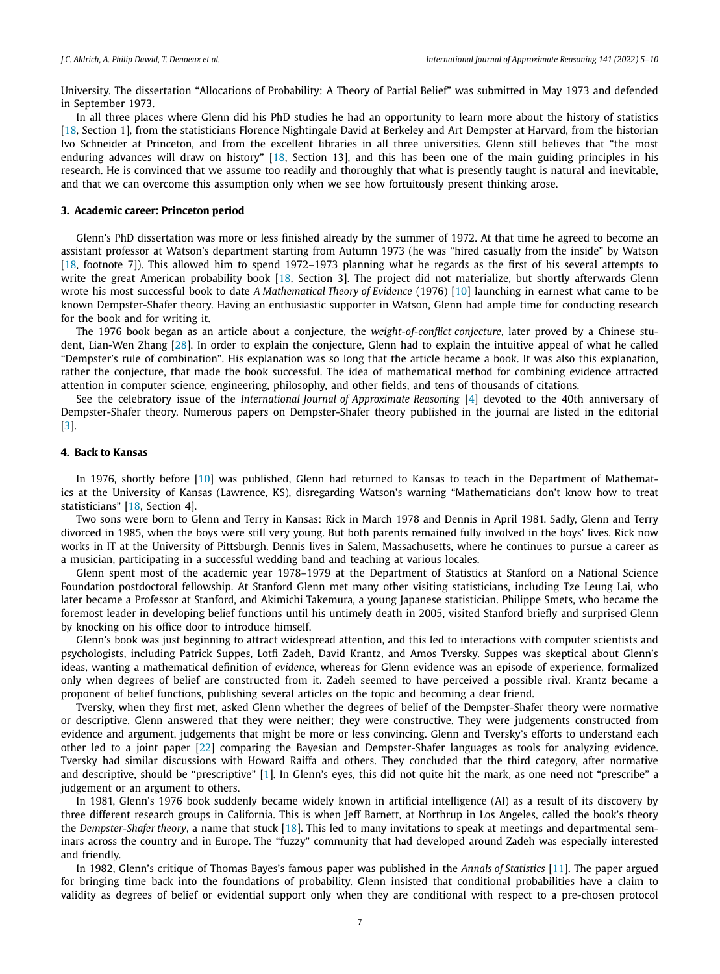University. The dissertation "Allocations of Probability: A Theory of Partial Belief" was submitted in May 1973 and defended in September 1973.

In all three places where Glenn did his PhD studies he had an opportunity to learn more about the history of statistics [[18](#page-5-0), Section 1], from the statisticians Florence Nightingale David at Berkeley and Art Dempster at Harvard, from the historian Ivo Schneider at Princeton, and from the excellent libraries in all three universities. Glenn still believes that "the most enduring advances will draw on history" [\[18,](#page-5-0) Section 13], and this has been one of the main guiding principles in his research. He is convinced that we assume too readily and thoroughly that what is presently taught is natural and inevitable, and that we can overcome this assumption only when we see how fortuitously present thinking arose.

#### **3. Academic career: Princeton period**

Glenn's PhD dissertation was more or less finished already by the summer of 1972. At that time he agreed to become an assistant professor at Watson's department starting from Autumn 1973 (he was "hired casually from the inside" by Watson [[18](#page-5-0), footnote 7]). This allowed him to spend 1972–1973 planning what he regards as the first of his several attempts to write the great American probability book [\[18](#page-5-0), Section 3]. The project did not materialize, but shortly afterwards Glenn wrote his most successful book to date *A Mathematical Theory of Evidence* (1976) [\[10\]](#page-5-0) launching in earnest what came to be known Dempster-Shafer theory. Having an enthusiastic supporter in Watson, Glenn had ample time for conducting research for the book and for writing it.

The 1976 book began as an article about a conjecture, the *weight-of-conflict conjecture*, later proved by a Chinese student, Lian-Wen Zhang [\[28](#page-5-0)]. In order to explain the conjecture, Glenn had to explain the intuitive appeal of what he called "Dempster's rule of combination". His explanation was so long that the article became a book. It was also this explanation, rather the conjecture, that made the book successful. The idea of mathematical method for combining evidence attracted attention in computer science, engineering, philosophy, and other fields, and tens of thousands of citations.

See the celebratory issue of the *International Journal of Approximate Reasoning* [\[4\]](#page-5-0) devoted to the 40th anniversary of Dempster-Shafer theory. Numerous papers on Dempster-Shafer theory published in the journal are listed in the editorial [[3](#page-5-0)].

### **4. Back to Kansas**

In 1976, shortly before [\[10](#page-5-0)] was published, Glenn had returned to Kansas to teach in the Department of Mathematics at the University of Kansas (Lawrence, KS), disregarding Watson's warning "Mathematicians don't know how to treat statisticians" [[18](#page-5-0), Section 4].

Two sons were born to Glenn and Terry in Kansas: Rick in March 1978 and Dennis in April 1981. Sadly, Glenn and Terry divorced in 1985, when the boys were still very young. But both parents remained fully involved in the boys' lives. Rick now works in IT at the University of Pittsburgh. Dennis lives in Salem, Massachusetts, where he continues to pursue a career as a musician, participating in a successful wedding band and teaching at various locales.

Glenn spent most of the academic year 1978–1979 at the Department of Statistics at Stanford on a National Science Foundation postdoctoral fellowship. At Stanford Glenn met many other visiting statisticians, including Tze Leung Lai, who later became a Professor at Stanford, and Akimichi Takemura, a young Japanese statistician. Philippe Smets, who became the foremost leader in developing belief functions until his untimely death in 2005, visited Stanford briefly and surprised Glenn by knocking on his office door to introduce himself.

Glenn's book was just beginning to attract widespread attention, and this led to interactions with computer scientists and psychologists, including Patrick Suppes, Lotfi Zadeh, David Krantz, and Amos Tversky. Suppes was skeptical about Glenn's ideas, wanting a mathematical definition of *evidence*, whereas for Glenn evidence was an episode of experience, formalized only when degrees of belief are constructed from it. Zadeh seemed to have perceived a possible rival. Krantz became a proponent of belief functions, publishing several articles on the topic and becoming a dear friend.

Tversky, when they first met, asked Glenn whether the degrees of belief of the Dempster-Shafer theory were normative or descriptive. Glenn answered that they were neither; they were constructive. They were judgements constructed from evidence and argument, judgements that might be more or less convincing. Glenn and Tversky's efforts to understand each other led to a joint paper [[22](#page-5-0)] comparing the Bayesian and Dempster-Shafer languages as tools for analyzing evidence. Tversky had similar discussions with Howard Raiffa and others. They concluded that the third category, after normative and descriptive, should be "prescriptive" [\[1\]](#page-5-0). In Glenn's eyes, this did not quite hit the mark, as one need not "prescribe" a judgement or an argument to others.

In 1981, Glenn's 1976 book suddenly became widely known in artificial intelligence (AI) as a result of its discovery by three different research groups in California. This is when Jeff Barnett, at Northrup in Los Angeles, called the book's theory the *Dempster-Shafer theory*, a name that stuck [\[18](#page-5-0)]. This led to many invitations to speak at meetings and departmental seminars across the country and in Europe. The "fuzzy" community that had developed around Zadeh was especially interested and friendly.

In 1982, Glenn's critique of Thomas Bayes's famous paper was published in the *Annals of Statistics* [\[11\]](#page-5-0). The paper argued for bringing time back into the foundations of probability. Glenn insisted that conditional probabilities have a claim to validity as degrees of belief or evidential support only when they are conditional with respect to a pre-chosen protocol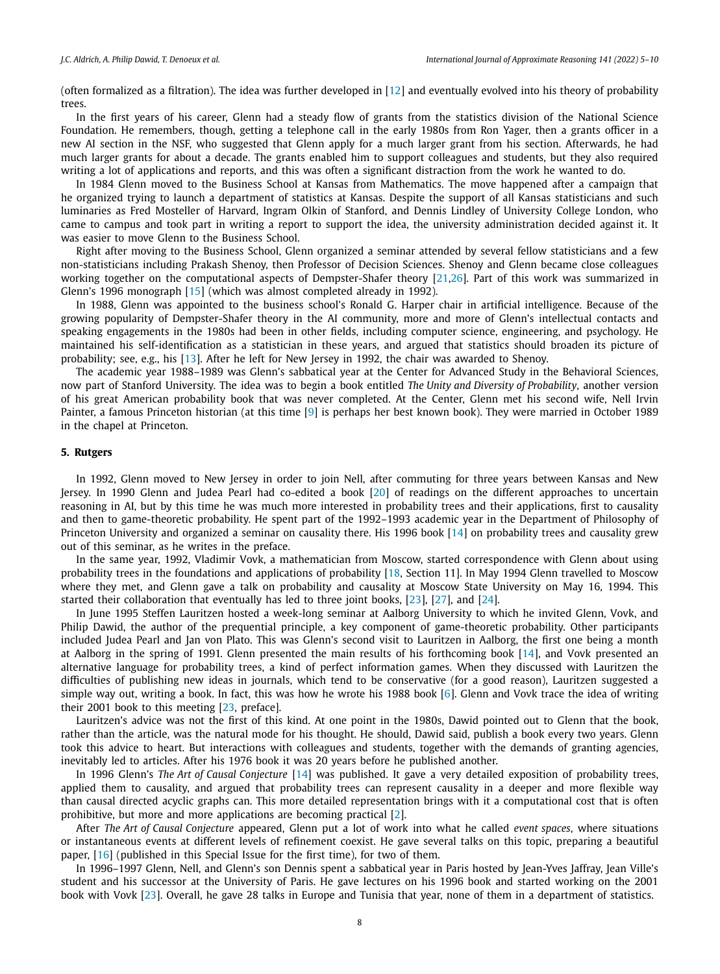(often formalized as a filtration). The idea was further developed in [\[12](#page-5-0)] and eventually evolved into his theory of probability trees.

In the first years of his career, Glenn had a steady flow of grants from the statistics division of the National Science Foundation. He remembers, though, getting a telephone call in the early 1980s from Ron Yager, then a grants officer in a new AI section in the NSF, who suggested that Glenn apply for a much larger grant from his section. Afterwards, he had much larger grants for about a decade. The grants enabled him to support colleagues and students, but they also required writing a lot of applications and reports, and this was often a significant distraction from the work he wanted to do.

In 1984 Glenn moved to the Business School at Kansas from Mathematics. The move happened after a campaign that he organized trying to launch a department of statistics at Kansas. Despite the support of all Kansas statisticians and such luminaries as Fred Mosteller of Harvard, Ingram Olkin of Stanford, and Dennis Lindley of University College London, who came to campus and took part in writing a report to support the idea, the university administration decided against it. It was easier to move Glenn to the Business School.

Right after moving to the Business School, Glenn organized a seminar attended by several fellow statisticians and a few non-statisticians including Prakash Shenoy, then Professor of Decision Sciences. Shenoy and Glenn became close colleagues working together on the computational aspects of Dempster-Shafer theory [\[21,26](#page-5-0)]. Part of this work was summarized in Glenn's 1996 monograph [[15](#page-5-0)] (which was almost completed already in 1992).

In 1988, Glenn was appointed to the business school's Ronald G. Harper chair in artificial intelligence. Because of the growing popularity of Dempster-Shafer theory in the AI community, more and more of Glenn's intellectual contacts and speaking engagements in the 1980s had been in other fields, including computer science, engineering, and psychology. He maintained his self-identification as a statistician in these years, and argued that statistics should broaden its picture of probability; see, e.g., his [\[13\]](#page-5-0). After he left for New Jersey in 1992, the chair was awarded to Shenoy.

The academic year 1988–1989 was Glenn's sabbatical year at the Center for Advanced Study in the Behavioral Sciences, now part of Stanford University. The idea was to begin a book entitled *The Unity and Diversity of Probability*, another version of his great American probability book that was never completed. At the Center, Glenn met his second wife, Nell Irvin Painter, a famous Princeton historian (at this time [[9](#page-5-0)] is perhaps her best known book). They were married in October 1989 in the chapel at Princeton.

# **5. Rutgers**

In 1992, Glenn moved to New Jersey in order to join Nell, after commuting for three years between Kansas and New Jersey. In 1990 Glenn and Judea Pearl had co-edited a book [[20](#page-5-0)] of readings on the different approaches to uncertain reasoning in AI, but by this time he was much more interested in probability trees and their applications, first to causality and then to game-theoretic probability. He spent part of the 1992–1993 academic year in the Department of Philosophy of Princeton University and organized a seminar on causality there. His 1996 book [[14](#page-5-0)] on probability trees and causality grew out of this seminar, as he writes in the preface.

In the same year, 1992, Vladimir Vovk, a mathematician from Moscow, started correspondence with Glenn about using probability trees in the foundations and applications of probability [\[18,](#page-5-0) Section 11]. In May 1994 Glenn travelled to Moscow where they met, and Glenn gave a talk on probability and causality at Moscow State University on May 16, 1994. This started their collaboration that eventually has led to three joint books, [[23](#page-5-0)], [[27](#page-5-0)], and [\[24\]](#page-5-0).

In June 1995 Steffen Lauritzen hosted a week-long seminar at Aalborg University to which he invited Glenn, Vovk, and Philip Dawid, the author of the prequential principle, a key component of game-theoretic probability. Other participants included Judea Pearl and Jan von Plato. This was Glenn's second visit to Lauritzen in Aalborg, the first one being a month at Aalborg in the spring of 1991. Glenn presented the main results of his forthcoming book [[14](#page-5-0)], and Vovk presented an alternative language for probability trees, a kind of perfect information games. When they discussed with Lauritzen the difficulties of publishing new ideas in journals, which tend to be conservative (for a good reason), Lauritzen suggested a simple way out, writing a book. In fact, this was how he wrote his 1988 book  $[6]$  $[6]$ . Glenn and Vovk trace the idea of writing their 2001 book to this meeting [\[23](#page-5-0), preface].

Lauritzen's advice was not the first of this kind. At one point in the 1980s, Dawid pointed out to Glenn that the book, rather than the article, was the natural mode for his thought. He should, Dawid said, publish a book every two years. Glenn took this advice to heart. But interactions with colleagues and students, together with the demands of granting agencies, inevitably led to articles. After his 1976 book it was 20 years before he published another.

In 1996 Glenn's *The Art of Causal Conjecture* [\[14\]](#page-5-0) was published. It gave a very detailed exposition of probability trees, applied them to causality, and argued that probability trees can represent causality in a deeper and more flexible way than causal directed acyclic graphs can. This more detailed representation brings with it a computational cost that is often prohibitive, but more and more applications are becoming practical [\[2\]](#page-5-0).

After *The Art of Causal Conjecture* appeared, Glenn put a lot of work into what he called *event spaces*, where situations or instantaneous events at different levels of refinement coexist. He gave several talks on this topic, preparing a beautiful paper, [\[16\]](#page-5-0) (published in this Special Issue for the first time), for two of them.

In 1996–1997 Glenn, Nell, and Glenn's son Dennis spent a sabbatical year in Paris hosted by Jean-Yves Jaffray, Jean Ville's student and his successor at the University of Paris. He gave lectures on his 1996 book and started working on the 2001 book with Vovk [\[23\]](#page-5-0). Overall, he gave 28 talks in Europe and Tunisia that year, none of them in a department of statistics.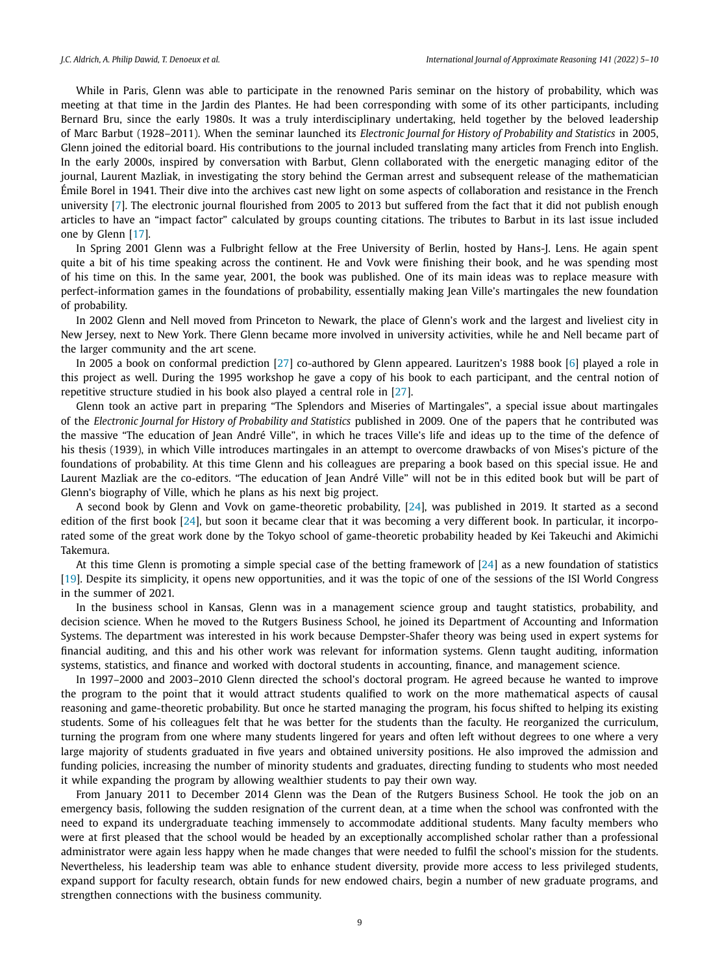While in Paris, Glenn was able to participate in the renowned Paris seminar on the history of probability, which was meeting at that time in the Jardin des Plantes. He had been corresponding with some of its other participants, including Bernard Bru, since the early 1980s. It was a truly interdisciplinary undertaking, held together by the beloved leadership of Marc Barbut (1928–2011). When the seminar launched its *Electronic Journal for History of Probability and Statistics* in 2005, Glenn joined the editorial board. His contributions to the journal included translating many articles from French into English. In the early 2000s, inspired by conversation with Barbut, Glenn collaborated with the energetic managing editor of the journal, Laurent Mazliak, in investigating the story behind the German arrest and subsequent release of the mathematician Émile Borel in 1941. Their dive into the archives cast new light on some aspects of collaboration and resistance in the French university [\[7](#page-5-0)]. The electronic journal flourished from 2005 to 2013 but suffered from the fact that it did not publish enough articles to have an "impact factor" calculated by groups counting citations. The tributes to Barbut in its last issue included one by Glenn [\[17](#page-5-0)].

In Spring 2001 Glenn was a Fulbright fellow at the Free University of Berlin, hosted by Hans-J. Lens. He again spent quite a bit of his time speaking across the continent. He and Vovk were finishing their book, and he was spending most of his time on this. In the same year, 2001, the book was published. One of its main ideas was to replace measure with perfect-information games in the foundations of probability, essentially making Jean Ville's martingales the new foundation of probability.

In 2002 Glenn and Nell moved from Princeton to Newark, the place of Glenn's work and the largest and liveliest city in New Jersey, next to New York. There Glenn became more involved in university activities, while he and Nell became part of the larger community and the art scene.

In 2005 a book on conformal prediction [[27](#page-5-0)] co-authored by Glenn appeared. Lauritzen's 1988 book [\[6](#page-5-0)] played a role in this project as well. During the 1995 workshop he gave a copy of his book to each participant, and the central notion of repetitive structure studied in his book also played a central role in [[27](#page-5-0)].

Glenn took an active part in preparing "The Splendors and Miseries of Martingales", a special issue about martingales of the *Electronic Journal for History of Probability and Statistics* published in 2009. One of the papers that he contributed was the massive "The education of Jean André Ville", in which he traces Ville's life and ideas up to the time of the defence of his thesis (1939), in which Ville introduces martingales in an attempt to overcome drawbacks of von Mises's picture of the foundations of probability. At this time Glenn and his colleagues are preparing a book based on this special issue. He and Laurent Mazliak are the co-editors. "The education of Jean André Ville" will not be in this edited book but will be part of Glenn's biography of Ville, which he plans as his next big project.

A second book by Glenn and Vovk on game-theoretic probability, [\[24\]](#page-5-0), was published in 2019. It started as a second edition of the first book [[24](#page-5-0)], but soon it became clear that it was becoming a very different book. In particular, it incorporated some of the great work done by the Tokyo school of game-theoretic probability headed by Kei Takeuchi and Akimichi Takemura.

At this time Glenn is promoting a simple special case of the betting framework of [\[24\]](#page-5-0) as a new foundation of statistics [[19](#page-5-0)]. Despite its simplicity, it opens new opportunities, and it was the topic of one of the sessions of the ISI World Congress in the summer of 2021.

In the business school in Kansas, Glenn was in a management science group and taught statistics, probability, and decision science. When he moved to the Rutgers Business School, he joined its Department of Accounting and Information Systems. The department was interested in his work because Dempster-Shafer theory was being used in expert systems for financial auditing, and this and his other work was relevant for information systems. Glenn taught auditing, information systems, statistics, and finance and worked with doctoral students in accounting, finance, and management science.

In 1997–2000 and 2003–2010 Glenn directed the school's doctoral program. He agreed because he wanted to improve the program to the point that it would attract students qualified to work on the more mathematical aspects of causal reasoning and game-theoretic probability. But once he started managing the program, his focus shifted to helping its existing students. Some of his colleagues felt that he was better for the students than the faculty. He reorganized the curriculum, turning the program from one where many students lingered for years and often left without degrees to one where a very large majority of students graduated in five years and obtained university positions. He also improved the admission and funding policies, increasing the number of minority students and graduates, directing funding to students who most needed it while expanding the program by allowing wealthier students to pay their own way.

From January 2011 to December 2014 Glenn was the Dean of the Rutgers Business School. He took the job on an emergency basis, following the sudden resignation of the current dean, at a time when the school was confronted with the need to expand its undergraduate teaching immensely to accommodate additional students. Many faculty members who were at first pleased that the school would be headed by an exceptionally accomplished scholar rather than a professional administrator were again less happy when he made changes that were needed to fulfil the school's mission for the students. Nevertheless, his leadership team was able to enhance student diversity, provide more access to less privileged students, expand support for faculty research, obtain funds for new endowed chairs, begin a number of new graduate programs, and strengthen connections with the business community.